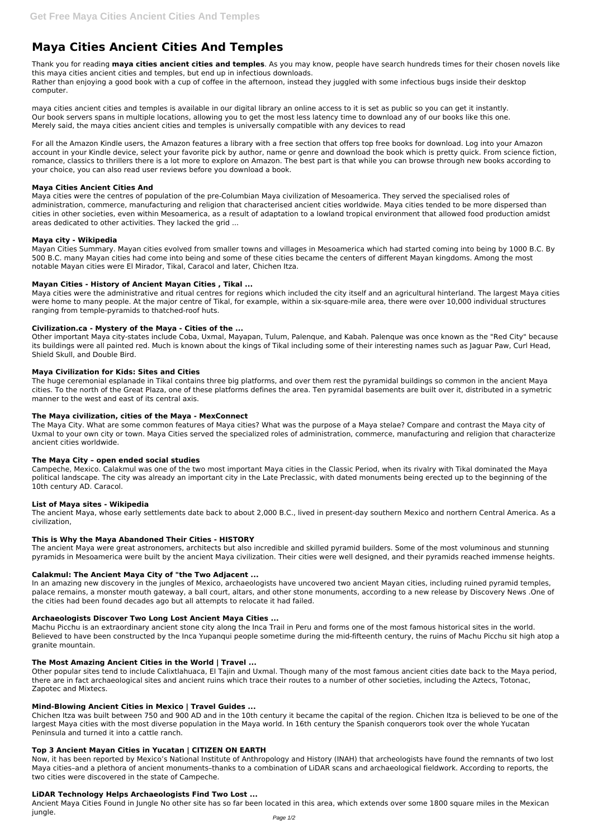# **Maya Cities Ancient Cities And Temples**

Thank you for reading **maya cities ancient cities and temples**. As you may know, people have search hundreds times for their chosen novels like this maya cities ancient cities and temples, but end up in infectious downloads. Rather than enjoying a good book with a cup of coffee in the afternoon, instead they juggled with some infectious bugs inside their desktop computer.

maya cities ancient cities and temples is available in our digital library an online access to it is set as public so you can get it instantly. Our book servers spans in multiple locations, allowing you to get the most less latency time to download any of our books like this one. Merely said, the maya cities ancient cities and temples is universally compatible with any devices to read

For all the Amazon Kindle users, the Amazon features a library with a free section that offers top free books for download. Log into your Amazon account in your Kindle device, select your favorite pick by author, name or genre and download the book which is pretty quick. From science fiction, romance, classics to thrillers there is a lot more to explore on Amazon. The best part is that while you can browse through new books according to your choice, you can also read user reviews before you download a book.

## **Maya Cities Ancient Cities And**

Maya cities were the centres of population of the pre-Columbian Maya civilization of Mesoamerica. They served the specialised roles of administration, commerce, manufacturing and religion that characterised ancient cities worldwide. Maya cities tended to be more dispersed than cities in other societies, even within Mesoamerica, as a result of adaptation to a lowland tropical environment that allowed food production amidst areas dedicated to other activities. They lacked the grid ...

## **Maya city - Wikipedia**

Mayan Cities Summary. Mayan cities evolved from smaller towns and villages in Mesoamerica which had started coming into being by 1000 B.C. By 500 B.C. many Mayan cities had come into being and some of these cities became the centers of different Mayan kingdoms. Among the most notable Mayan cities were El Mirador, Tikal, Caracol and later, Chichen Itza.

# **Mayan Cities - History of Ancient Mayan Cities , Tikal ...**

Maya cities were the administrative and ritual centres for regions which included the city itself and an agricultural hinterland. The largest Maya cities were home to many people. At the major centre of Tikal, for example, within a six-square-mile area, there were over 10,000 individual structures ranging from temple-pyramids to thatched-roof huts.

# **Civilization.ca - Mystery of the Maya - Cities of the ...**

Other important Maya city-states include Coba, Uxmal, Mayapan, Tulum, Palenque, and Kabah. Palenque was once known as the "Red City" because its buildings were all painted red. Much is known about the kings of Tikal including some of their interesting names such as Jaguar Paw, Curl Head, Shield Skull, and Double Bird.

## **Maya Civilization for Kids: Sites and Cities**

The huge ceremonial esplanade in Tikal contains three big platforms, and over them rest the pyramidal buildings so common in the ancient Maya cities. To the north of the Great Plaza, one of these platforms defines the area. Ten pyramidal basements are built over it, distributed in a symetric manner to the west and east of its central axis.

# **The Maya civilization, cities of the Maya - MexConnect**

The Maya City. What are some common features of Maya cities? What was the purpose of a Maya stelae? Compare and contrast the Maya city of Uxmal to your own city or town. Maya Cities served the specialized roles of administration, commerce, manufacturing and religion that characterize ancient cities worldwide.

# **The Maya City – open ended social studies**

Campeche, Mexico. Calakmul was one of the two most important Maya cities in the Classic Period, when its rivalry with Tikal dominated the Maya political landscape. The city was already an important city in the Late Preclassic, with dated monuments being erected up to the beginning of the 10th century AD. Caracol.

## **List of Maya sites - Wikipedia**

The ancient Maya, whose early settlements date back to about 2,000 B.C., lived in present-day southern Mexico and northern Central America. As a civilization,

## **This is Why the Maya Abandoned Their Cities - HISTORY**

The ancient Maya were great astronomers, architects but also incredible and skilled pyramid builders. Some of the most voluminous and stunning pyramids in Mesoamerica were built by the ancient Maya civilization. Their cities were well designed, and their pyramids reached immense heights.

# **Calakmul: The Ancient Maya City of "the Two Adjacent ...**

In an amazing new discovery in the jungles of Mexico, archaeologists have uncovered two ancient Mayan cities, including ruined pyramid temples, palace remains, a monster mouth gateway, a ball court, altars, and other stone monuments, according to a new release by Discovery News .One of the cities had been found decades ago but all attempts to relocate it had failed.

## **Archaeologists Discover Two Long Lost Ancient Maya Cities ...**

Machu Picchu is an extraordinary ancient stone city along the Inca Trail in Peru and forms one of the most famous historical sites in the world.

Believed to have been constructed by the Inca Yupanqui people sometime during the mid-fifteenth century, the ruins of Machu Picchu sit high atop a granite mountain.

## **The Most Amazing Ancient Cities in the World | Travel ...**

Other popular sites tend to include Calixtlahuaca, El Tajin and Uxmal. Though many of the most famous ancient cities date back to the Maya period, there are in fact archaeological sites and ancient ruins which trace their routes to a number of other societies, including the Aztecs, Totonac, Zapotec and Mixtecs.

#### **Mind-Blowing Ancient Cities in Mexico | Travel Guides ...**

Chichen Itza was built between 750 and 900 AD and in the 10th century it became the capital of the region. Chichen Itza is believed to be one of the largest Maya cities with the most diverse population in the Maya world. In 16th century the Spanish conquerors took over the whole Yucatan Peninsula and turned it into a cattle ranch.

## **Top 3 Ancient Mayan Cities in Yucatan | CITIZEN ON EARTH**

Now, it has been reported by Mexico's National Institute of Anthropology and History (INAH) that archeologists have found the remnants of two lost Maya cities–and a plethora of ancient monuments–thanks to a combination of LiDAR scans and archaeological fieldwork. According to reports, the two cities were discovered in the state of Campeche.

## **LiDAR Technology Helps Archaeologists Find Two Lost ...**

Ancient Maya Cities Found in Jungle No other site has so far been located in this area, which extends over some 1800 square miles in the Mexican jungle.